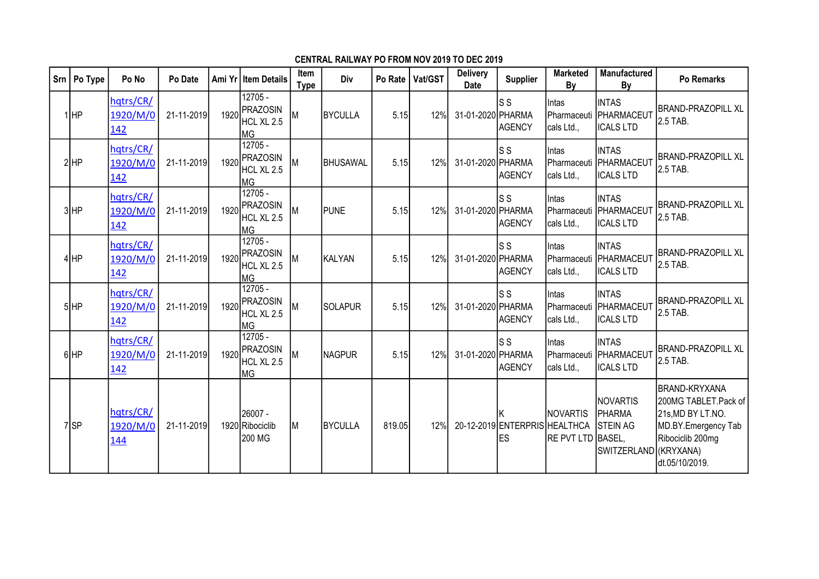| Srn | Po Type         | Po No                               | Po Date    |      | Ami Yr   Item Details                                 | Item<br><b>Type</b> | Div            | Po Rate | Vat/GST | <b>Delivery</b><br><b>Date</b> | <b>Supplier</b>                            | <b>Marketed</b><br>By                | <b>Manufactured</b><br>By                                             | <b>Po Remarks</b>                                                                                                              |
|-----|-----------------|-------------------------------------|------------|------|-------------------------------------------------------|---------------------|----------------|---------|---------|--------------------------------|--------------------------------------------|--------------------------------------|-----------------------------------------------------------------------|--------------------------------------------------------------------------------------------------------------------------------|
|     | $1$ HP          | hqtrs/CR/<br>1920/M/0<br>142        | 21-11-2019 | 1920 | 12705 -<br><b>PRAZOSIN</b><br>HCL XL 2.5<br><b>MG</b> | M                   | BYCULLA        | 5.15    | 12%     | 31-01-2020 PHARMA              | ls s<br><b>AGENCY</b>                      | Intas<br>Pharmaceuti<br>cals Ltd.,   | <b>INTAS</b><br>PHARMACEUT<br><b>ICALS LTD</b>                        | <b>BRAND-PRAZOPILL XL</b><br>2.5 TAB.                                                                                          |
|     | $2$ HP          | hqtrs/CR/<br>1920/M/0<br>142        | 21-11-2019 | 1920 | $12705 -$<br>PRAZOSIN<br>HCL XL 2.5<br><b>MG</b>      | M                   | BHUSAWAL       | 5.15    | 12%     | 31-01-2020 PHARMA              | ls s<br><b>AGENCY</b>                      | Intas<br>Pharmaceuti<br>cals Ltd.,   | <b>INTAS</b><br>PHARMACEUT<br><b>ICALS LTD</b>                        | <b>BRAND-PRAZOPILL XL</b><br>2.5 TAB.                                                                                          |
|     | 3HP             | hqtrs/CR/<br>1920/M/0<br>142        | 21-11-2019 | 1920 | 12705 -<br>PRAZOSIN<br>HCL XL 2.5<br> MG              | lМ                  | PUNE           | 5.15    | 12%     | 31-01-2020 PHARMA              | ls s<br><b>AGENCY</b>                      | Intas<br>Pharmaceuti<br>cals Ltd.,   | <b>INTAS</b><br><b>PHARMACEUT</b><br><b>ICALS LTD</b>                 | <b>BRAND-PRAZOPILL XL</b><br>2.5 TAB.                                                                                          |
|     | $4$ $HP$        | hqtrs/CR/<br>1920/M/0<br>142        | 21-11-2019 | 1920 | 12705 -<br>PRAZOSIN<br>HCL XL 2.5<br>ІмG              | İМ                  | KALYAN         | 5.15    | 12%     | 31-01-2020 PHARMA              | ls s<br>AGENCY                             | Intas<br>Pharmaceuti<br>cals Ltd.,   | <b>INTAS</b><br>PHARMACEUT<br><b>ICALS LTD</b>                        | <b>BRAND-PRAZOPILL XL</b><br>2.5 TAB.                                                                                          |
|     | $5$ HP          | hqtrs/CR/<br>1920/M/0<br>142        | 21-11-2019 | 1920 | $12705 -$<br><b>PRAZOSIN</b><br>HCL XL 2.5<br> MG     | Iм                  | SOLAPUR        | 5.15    | 12%     | 31-01-2020 PHARMA              | ls s<br>AGENCY                             | Intas<br>Pharmaceuti<br>cals Ltd.,   | <b>INTAS</b><br>PHARMACEUT<br><b>ICALS LTD</b>                        | <b>BRAND-PRAZOPILL XL</b><br>2.5 TAB.                                                                                          |
|     | $6$ HP          | hqtrs/CR/<br>1920/M/0<br><u>142</u> | 21-11-2019 | 1920 | 12705 -<br><b>PRAZOSIN</b><br>HCL XL 2.5<br>lмg       | M                   | NAGPUR         | 5.15    | 12%     | 31-01-2020 PHARMA              | ls s<br>AGENCY                             | Intas<br>Pharmaceuti<br>cals Ltd.,   | <b>INTAS</b><br>PHARMACEUT<br><b>ICALS LTD</b>                        | <b>BRAND-PRAZOPILL XL</b><br>2.5 TAB.                                                                                          |
|     | 7 <sub>SP</sub> | hqtrs/CR/<br>1920/M/0<br>144        | 21-11-2019 |      | l26007 -<br>1920 Ribociclib<br>200 MG                 | İМ                  | <b>BYCULLA</b> | 819.05  | 12%     |                                | ΙK<br>20-12-2019 ENTERPRIS HEALTHCA<br>les | <b>NOVARTIS</b><br>RE PVT LTD BASEL, | <b>NOVARTIS</b><br>PHARMA<br><b>STEIN AG</b><br>SWITZERLAND (KRYXANA) | <b>BRAND-KRYXANA</b><br>200MG TABLET.Pack of<br>21s, MD BY LT.NO.<br>MD.BY.Emergency Tab<br>Ribociclib 200mg<br>dt.05/10/2019. |

## CENTRAL RAILWAY PO FROM NOV 2019 TO DEC 2019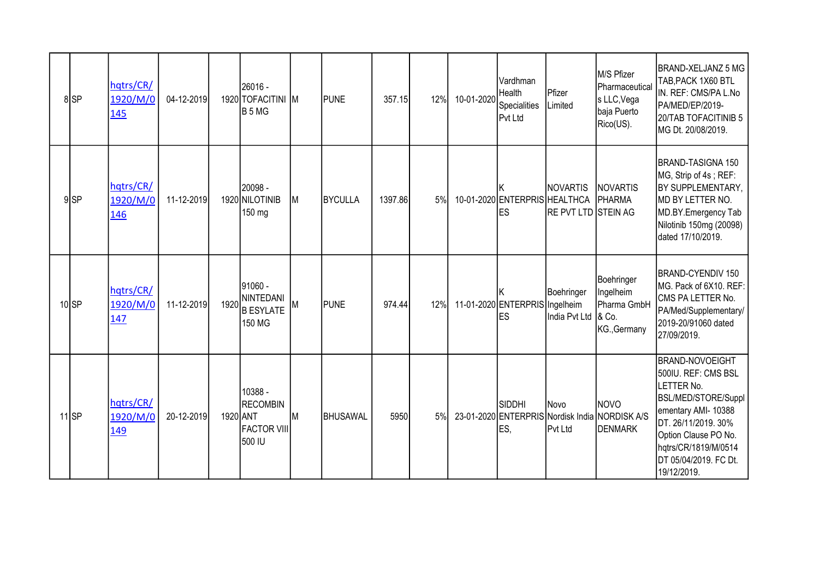|                  | 8SP    | hqtrs/CR/<br>1920/M/0<br>145 | 04-12-2019 |      | 26016 -<br>1920 TOFACITINI M<br>B 5 MG                                 |           | <b>PUNE</b> | 357.15  | 12% | 10-01-2020 | Vardhman<br>Health<br><b>Specialities</b><br>Pvt Ltd | <b>I</b> Pfizer<br>Limited                                     | M/S Pfizer<br>Pharmaceutical<br>s LLC, Vega<br>baja Puerto<br>Rico(US). | BRAND-XELJANZ 5 MG<br>TAB, PACK 1X60 BTL<br>IN. REF: CMS/PA L.No<br>PA/MED/EP/2019-<br>20/TAB TOFACITINIB 5<br>MG Dt. 20/08/2019.                                                                                        |
|------------------|--------|------------------------------|------------|------|------------------------------------------------------------------------|-----------|-------------|---------|-----|------------|------------------------------------------------------|----------------------------------------------------------------|-------------------------------------------------------------------------|--------------------------------------------------------------------------------------------------------------------------------------------------------------------------------------------------------------------------|
|                  | $9$ SP | hqtrs/CR/<br>1920/M/0<br>146 | 11-12-2019 |      | - 20098 <br>1920 NILOTINIB<br>150 mg                                   | <b>M</b>  | BYCULLA     | 1397.86 | 5%  |            | 10-01-2020 ENTERPRIS HEALTHCA<br>les                 | <b>NOVARTIS</b><br>RE PVT LTD STEIN AG                         | <b>NOVARTIS</b><br>PHARMA                                               | BRAND-TASIGNA 150<br>MG, Strip of 4s; REF:<br>BY SUPPLEMENTARY,<br>MD BY LETTER NO.<br>MD.BY.Emergency Tab<br>Nilotinib 150mg (20098)<br>dated 17/10/2019.                                                               |
| 10 <sub>SP</sub> |        | hqtrs/CR/<br>1920/M/0<br>147 | 11-12-2019 | 1920 | l91060 -<br>NINTEDANI<br><b>B ESYLATE</b><br>150 MG                    | IM.       | <b>PUNE</b> | 974.44  | 12% |            | 11-01-2020 ENTERPRIS Ingelheim<br>les                | Boehringer<br>India Pvt Ltd                                    | Boehringer<br>Ingelheim<br>Pharma GmbH<br>$8$ Co.<br>KG., Germany       | BRAND-CYENDIV 150<br>MG. Pack of 6X10. REF:<br>CMS PA LETTER No.<br>PA/Med/Supplementary/<br>2019-20/91060 dated<br>27/09/2019.                                                                                          |
| $11$ SP          |        | hqtrs/CR/<br>1920/M/0<br>149 | 20-12-2019 |      | 10388 -<br><b>RECOMBIN</b><br>1920 ANT<br><b>FACTOR VIII</b><br>500 IU | <b>IM</b> | BHUSAWAL    | 5950    | 5%  |            | Isiddhi<br>ES,                                       | <b>I</b> Novo<br>23-01-2020 ENTERPRIS Nordisk India<br>Pvt Ltd | <b>INOVO</b><br><b>NORDISK A/S</b><br>DENMARK                           | <b>BRAND-NOVOEIGHT</b><br>500IU. REF: CMS BSL<br>LETTER No.<br>BSL/MED/STORE/Suppl<br>ementary AMI- 10388<br>DT. 26/11/2019. 30%<br>Option Clause PO No.<br>hqtrs/CR/1819/M/0514<br>DT 05/04/2019. FC Dt.<br>19/12/2019. |